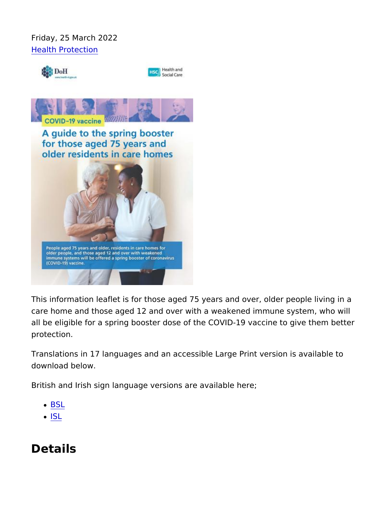Friday, 25 March 2022 [Health Prote](https://www.publichealth.hscni.net/directorates/public-health/health-protection)ction

This information leaflet is for those aged 75 years and over, olde care home and those aged 12 and over with a weakened immune s all be eligible for a spring booster dose of the COVID-19 vaccine protection.

Translations in 17 languages and an accessible Large Print version download below.

British and Irish sign language versions are available here;

- [BS](https://vimeo.com/700751297)L
- $-1S<sub>L</sub>$

Details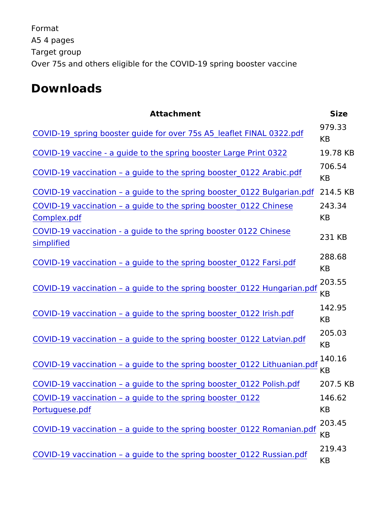Format A5 4 pages Target group Over 75s and others eligible for the COVID-19 spring booster vac

Downloads

| Attachment                                                                                               |                                                 | Size           |
|----------------------------------------------------------------------------------------------------------|-------------------------------------------------|----------------|
| 979.33<br>COVID-19_spring booster guide for over 75s A5_leaflet FINAL 032<br>KB                          |                                                 |                |
| COVID-19 vaccine - a guide to the spring booster Lange 7P8 riKnB 032                                     |                                                 |                |
| TO6.54 706.54<br>COVID-19 vaccination a guide to the spring booster 0122 Arabio                          |                                                 |                |
| COVID-19 vaccination                                                                                     | a guide to the spring booster2_1041.252KEBulga  |                |
| COVID-19 vaccination                                                                                     | a guide to the spring booster2_4031.2824 Chine  | K <sub>B</sub> |
| Complex <sub>.pdf</sub><br>COVID-19 vaccination - a guide to the spring booster 0122 Chine<br>simplified |                                                 |                |
| 288.68<br>COVID-19 vaccination a guide to the spring booster 0122 Farsi.                                 |                                                 |                |
| COVID-19 vaccination a guide to the spring booster 0122 Hunga<br>KB                                      |                                                 |                |
| COVID-19 vaccination                                                                                     | a guide to the spring booster 0122 Irish.<br>KB |                |
| COVID-19 vaccination                                                                                     | a guide to the spring booster 0122 Latvia<br>KB |                |
| 140.16<br>COVID-19 vaccination a guide to the spring booster 0122 Lithua                                 |                                                 |                |
| COVID-19 vaccination                                                                                     | a guide to the spring booster2_0071.352KPBolish |                |
| COVID-19 vaccination a guide to the spring booster14061.352<br>Portuguese.pdf                            |                                                 | K B            |
| COVID-19 vaccination                                                                                     | a guide to the spring booster 0122 Roma         | 203.45         |
| COVID-19 vaccination                                                                                     | a guide to the spring booster 0122 Russi        |                |